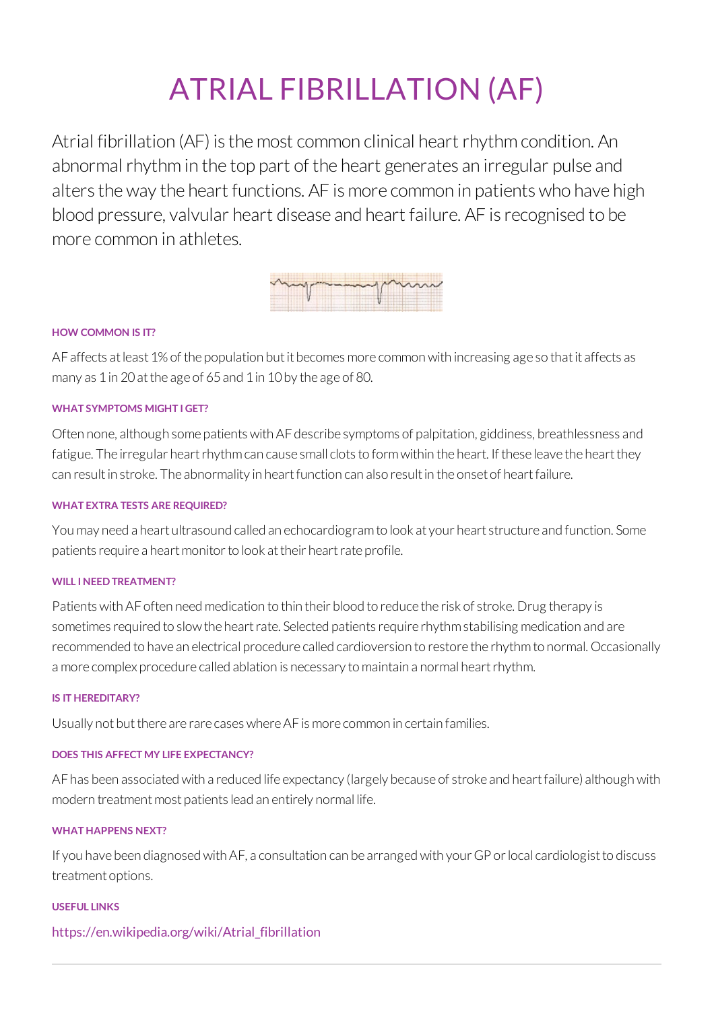# ATRIAL FIBRILLATION (AF)

Atrial fibrillation (AF) is the most common clinical heart rhythm condition. An abnormal rhythmin the top part of the heart generates an irregular pulse and alters the way the heart functions. AF is more common in patients who have high blood pressure, valvular heart disease and heart failure. AF isrecognised to be more common in athletes.

| mymmanymm |  |
|-----------|--|
|           |  |

## **HOW COMMON IS IT?**

AF affects at least 1% of the population but it becomes more common with increasing age so that it affects as many as 1in 20atthe age of 65and 1in 10by the age of 80.

## **WHAT SYMPTOMS MIGHT I GET?**

Often none, although some patients with AF describe symptoms of palpitation, giddiness, breathlessness and fatigue. The irregular heart rhythm can cause small clots to form within the heart. If these leave the heart they can resultin stroke. The abnormality in heartfunction can also resultin the onset of heartfailure.

#### **WHAT EXTRA TESTS ARE REQUIRED?**

Youmay need a heart ultrasound called an echocardiogramto look at your heartstructure and function. Some patients require a heart monitor to look at their heart rate profile.

#### **WILL INEEDTREATMENT?**

Patients with AF often need medication to thin their blood to reduce the risk of stroke. Drug therapy is sometimes required to slow the heart rate. Selected patients require rhythm stabilising medication and are recommended to have an electrical procedure called cardioversion to restore the rhythmto normal.Occasionally a more complex procedure called ablation is necessary to maintain a normal heart rhythm.

#### **IS ITHEREDITARY?**

Usually not but there are rare cases where AF is more common in certain families.

#### **DOES THIS AFFECT MY LIFE EXPECTANCY?**

AF has been associated with a reduced life expectancy (largely because of stroke and heart failure) although with modern treatment most patients lead an entirely normal life.

#### **WHATHAPPENS NEXT?**

If you have been diagnosed with AF, a consultation can be arranged with your GP or local cardiologist to discuss treatment options.

#### **USEFUL LINKS**

# [https://en.wikipedia.org/wiki/Atrial\\_fibrillation](https://en.wikipedia.org/wiki/Atrial_fibrillation)